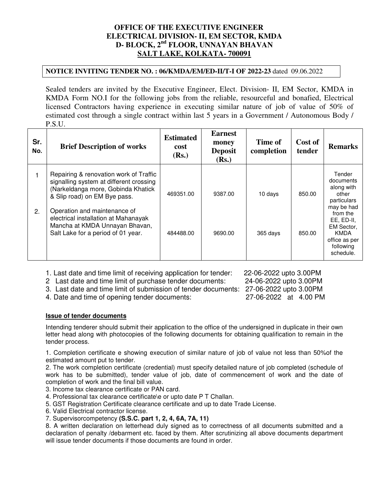## **OFFICE OF THE EXECUTIVE ENGINEER ELECTRICAL DIVISION- II, EM SECTOR, KMDA D- BLOCK, 2nd FLOOR, UNNAYAN BHAVAN SALT LAKE, KOLKATA- 700091**

## **NOTICE INVITING TENDER NO. : 06/KMDA/EM/ED-II/T-I OF 2022-23** dated 09.06.2022

Sealed tenders are invited by the Executive Engineer, Elect. Division- II, EM Sector, KMDA in KMDA Form NO.I for the following jobs from the reliable, resourceful and bonafied, Electrical licensed Contractors having experience in executing similar nature of job of value of 50% of estimated cost through a single contract within last 5 years in a Government / Autonomous Body / P.S.U.

| Sr.<br>No. | <b>Brief Description of works</b>                                                                                                                                                                                                                                                                       | <b>Estimated</b><br>cost<br>(Rs.) | <b>Earnest</b><br>money<br><b>Deposit</b><br>(Rs.) | Time of<br>completion | Cost of<br>tender | <b>Remarks</b>                                                                                                                                                            |
|------------|---------------------------------------------------------------------------------------------------------------------------------------------------------------------------------------------------------------------------------------------------------------------------------------------------------|-----------------------------------|----------------------------------------------------|-----------------------|-------------------|---------------------------------------------------------------------------------------------------------------------------------------------------------------------------|
| 2.         | Repairing & renovation work of Traffic<br>signalling system at different crossing<br>(Narkeldanga more, Gobinda Khatick<br>& Slip road) on EM Bye pass.<br>Operation and maintenance of<br>electrical installation at Mahanayak<br>Mancha at KMDA Unnayan Bhavan,<br>Salt Lake for a period of 01 year. | 469351.00<br>484488.00            | 9387.00<br>9690.00                                 | 10 days<br>365 days   | 850.00<br>850.00  | Tender<br>documents<br>along with<br>other<br>particulars<br>may be had<br>from the<br>EE, ED-II,<br>EM Sector,<br><b>KMDA</b><br>office as per<br>following<br>schedule. |

1. Last date and time limit of receiving application for tender: 22-06-2022 upto 3.00PM

2 Last date and time limit of purchase tender documents: 24-06-2022 upto 3.00PM

3. Last date and time limit of submission of tender documents: 27-06-2022 upto 3.00PM

4. Date and time of opening tender documents: 27-06-2022 at 4.00 PM

**Issue of tender documents**

Intending tenderer should submit their application to the office of the undersigned in duplicate in their own letter head along with photocopies of the following documents for obtaining qualification to remain in the tender process.

1. Completion certificate e showing execution of similar nature of job of value not less than 50%of the estimated amount put to tender.

2. The work completion certificate (credential) must specify detailed nature of job completed (schedule of work has to be submitted), tender value of job, date of commencement of work and the date of completion of work and the final bill value.

3. Income tax clearance certificate or PAN card.

4. Professional tax clearance certificate\e or upto date P T Challan.

5. GST Registration Certificate clearance certificate and up to date Trade License.

6. Valid Electrical contractor license.

7. Supervisorcompetency **(S.S.C. part 1, 2, 4, 6A, 7A, 11)**

8. A written declaration on letterhead duly signed as to correctness of all documents submitted and a declaration of penalty /debarment etc. faced by them. After scrutinizing all above documents department will issue tender documents if those documents are found in order.